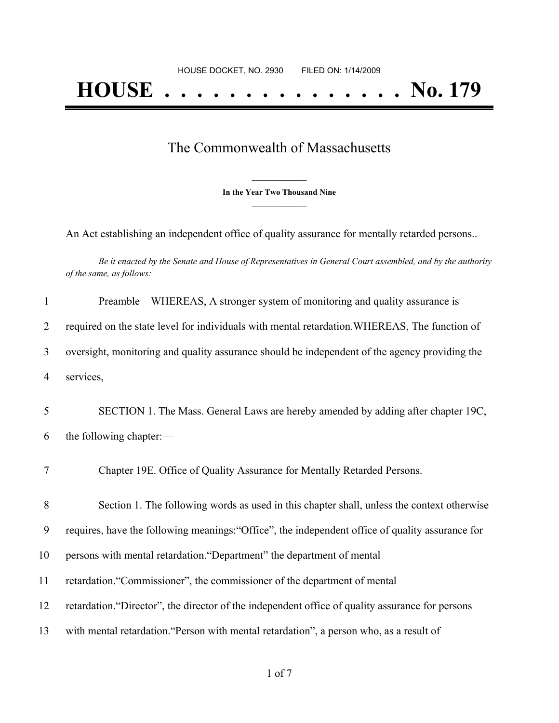## The Commonwealth of Massachusetts

**\_\_\_\_\_\_\_\_\_\_\_\_\_\_\_ In the Year Two Thousand Nine \_\_\_\_\_\_\_\_\_\_\_\_\_\_\_**

An Act establishing an independent office of quality assurance for mentally retarded persons..

Be it enacted by the Senate and House of Representatives in General Court assembled, and by the authority *of the same, as follows:*

| $\mathbf{1}$   | Preamble—WHEREAS, A stronger system of monitoring and quality assurance is                       |
|----------------|--------------------------------------------------------------------------------------------------|
| $\overline{2}$ | required on the state level for individuals with mental retardation. WHEREAS, The function of    |
| 3              | oversight, monitoring and quality assurance should be independent of the agency providing the    |
| $\overline{4}$ | services,                                                                                        |
| 5              | SECTION 1. The Mass. General Laws are hereby amended by adding after chapter 19C,                |
| 6              | the following chapter:-                                                                          |
| 7              | Chapter 19E. Office of Quality Assurance for Mentally Retarded Persons.                          |
| 8              | Section 1. The following words as used in this chapter shall, unless the context otherwise       |
| 9              | requires, have the following meanings: "Office", the independent office of quality assurance for |
| 10             | persons with mental retardation. "Department" the department of mental                           |
| 11             | retardation. "Commissioner", the commissioner of the department of mental                        |
| 12             | retardation. "Director", the director of the independent office of quality assurance for persons |
| 13             | with mental retardation. "Person with mental retardation", a person who, as a result of          |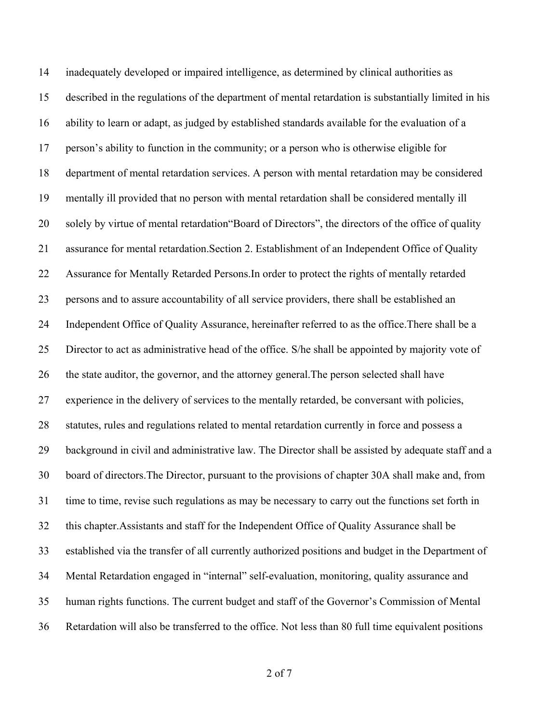inadequately developed or impaired intelligence, as determined by clinical authorities as described in the regulations of the department of mental retardation is substantially limited in his ability to learn or adapt, as judged by established standards available for the evaluation of a person's ability to function in the community; or a person who is otherwise eligible for department of mental retardation services. A person with mental retardation may be considered mentally ill provided that no person with mental retardation shall be considered mentally ill solely by virtue of mental retardation"Board of Directors", the directors of the office of quality assurance for mental retardation.Section 2. Establishment of an Independent Office of Quality Assurance for Mentally Retarded Persons.In order to protect the rights of mentally retarded persons and to assure accountability of all service providers, there shall be established an Independent Office of Quality Assurance, hereinafter referred to as the office.There shall be a Director to act as administrative head of the office. S/he shall be appointed by majority vote of the state auditor, the governor, and the attorney general.The person selected shall have experience in the delivery of services to the mentally retarded, be conversant with policies, statutes, rules and regulations related to mental retardation currently in force and possess a background in civil and administrative law. The Director shall be assisted by adequate staff and a board of directors.The Director, pursuant to the provisions of chapter 30A shall make and, from time to time, revise such regulations as may be necessary to carry out the functions set forth in this chapter.Assistants and staff for the Independent Office of Quality Assurance shall be established via the transfer of all currently authorized positions and budget in the Department of Mental Retardation engaged in "internal" self-evaluation, monitoring, quality assurance and human rights functions. The current budget and staff of the Governor's Commission of Mental Retardation will also be transferred to the office. Not less than 80 full time equivalent positions

of 7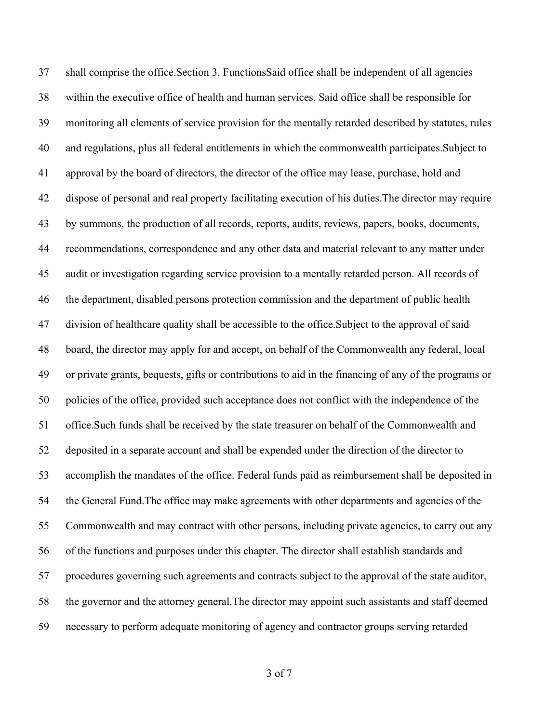shall comprise the office.Section 3. FunctionsSaid office shall be independent of all agencies within the executive office of health and human services. Said office shall be responsible for monitoring all elements of service provision for the mentally retarded described by statutes, rules and regulations, plus all federal entitlements in which the commonwealth participates.Subject to approval by the board of directors, the director of the office may lease, purchase, hold and dispose of personal and real property facilitating execution of his duties.The director may require by summons, the production of all records, reports, audits, reviews, papers, books, documents, recommendations, correspondence and any other data and material relevant to any matter under audit or investigation regarding service provision to a mentally retarded person. All records of the department, disabled persons protection commission and the department of public health division of healthcare quality shall be accessible to the office.Subject to the approval of said board, the director may apply for and accept, on behalf of the Commonwealth any federal, local or private grants, bequests, gifts or contributions to aid in the financing of any of the programs or policies of the office, provided such acceptance does not conflict with the independence of the office.Such funds shall be received by the state treasurer on behalf of the Commonwealth and deposited in a separate account and shall be expended under the direction of the director to accomplish the mandates of the office. Federal funds paid as reimbursement shall be deposited in the General Fund.The office may make agreements with other departments and agencies of the Commonwealth and may contract with other persons, including private agencies, to carry out any of the functions and purposes under this chapter. The director shall establish standards and procedures governing such agreements and contracts subject to the approval of the state auditor, the governor and the attorney general.The director may appoint such assistants and staff deemed necessary to perform adequate monitoring of agency and contractor groups serving retarded

of 7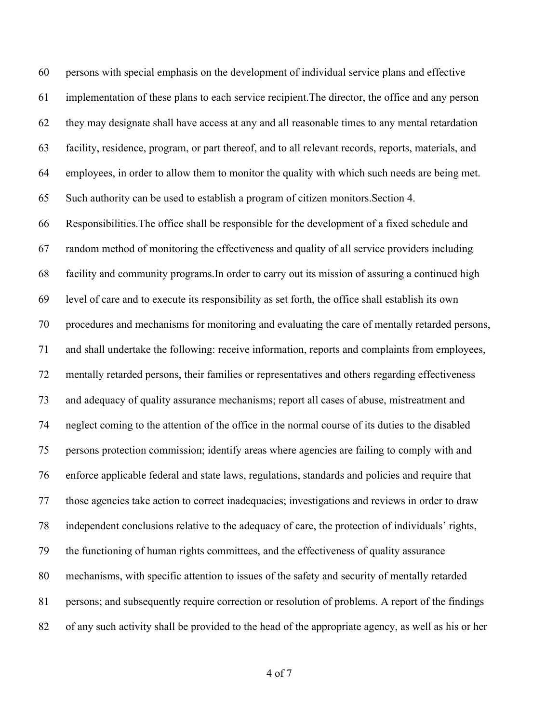persons with special emphasis on the development of individual service plans and effective implementation of these plans to each service recipient.The director, the office and any person they may designate shall have access at any and all reasonable times to any mental retardation facility, residence, program, or part thereof, and to all relevant records, reports, materials, and employees, in order to allow them to monitor the quality with which such needs are being met. Such authority can be used to establish a program of citizen monitors.Section 4.

 Responsibilities.The office shall be responsible for the development of a fixed schedule and random method of monitoring the effectiveness and quality of all service providers including facility and community programs.In order to carry out its mission of assuring a continued high level of care and to execute its responsibility as set forth, the office shall establish its own procedures and mechanisms for monitoring and evaluating the care of mentally retarded persons, and shall undertake the following: receive information, reports and complaints from employees, mentally retarded persons, their families or representatives and others regarding effectiveness and adequacy of quality assurance mechanisms; report all cases of abuse, mistreatment and neglect coming to the attention of the office in the normal course of its duties to the disabled persons protection commission; identify areas where agencies are failing to comply with and enforce applicable federal and state laws, regulations, standards and policies and require that those agencies take action to correct inadequacies; investigations and reviews in order to draw independent conclusions relative to the adequacy of care, the protection of individuals' rights, the functioning of human rights committees, and the effectiveness of quality assurance mechanisms, with specific attention to issues of the safety and security of mentally retarded persons; and subsequently require correction or resolution of problems. A report of the findings of any such activity shall be provided to the head of the appropriate agency, as well as his or her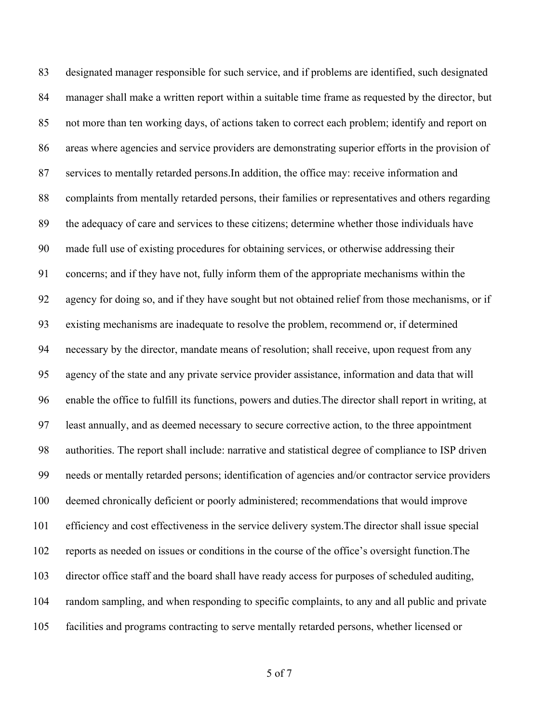designated manager responsible for such service, and if problems are identified, such designated manager shall make a written report within a suitable time frame as requested by the director, but not more than ten working days, of actions taken to correct each problem; identify and report on areas where agencies and service providers are demonstrating superior efforts in the provision of services to mentally retarded persons.In addition, the office may: receive information and complaints from mentally retarded persons, their families or representatives and others regarding the adequacy of care and services to these citizens; determine whether those individuals have made full use of existing procedures for obtaining services, or otherwise addressing their concerns; and if they have not, fully inform them of the appropriate mechanisms within the agency for doing so, and if they have sought but not obtained relief from those mechanisms, or if existing mechanisms are inadequate to resolve the problem, recommend or, if determined necessary by the director, mandate means of resolution; shall receive, upon request from any agency of the state and any private service provider assistance, information and data that will enable the office to fulfill its functions, powers and duties.The director shall report in writing, at least annually, and as deemed necessary to secure corrective action, to the three appointment authorities. The report shall include: narrative and statistical degree of compliance to ISP driven needs or mentally retarded persons; identification of agencies and/or contractor service providers deemed chronically deficient or poorly administered; recommendations that would improve efficiency and cost effectiveness in the service delivery system.The director shall issue special reports as needed on issues or conditions in the course of the office's oversight function.The director office staff and the board shall have ready access for purposes of scheduled auditing, random sampling, and when responding to specific complaints, to any and all public and private facilities and programs contracting to serve mentally retarded persons, whether licensed or

of 7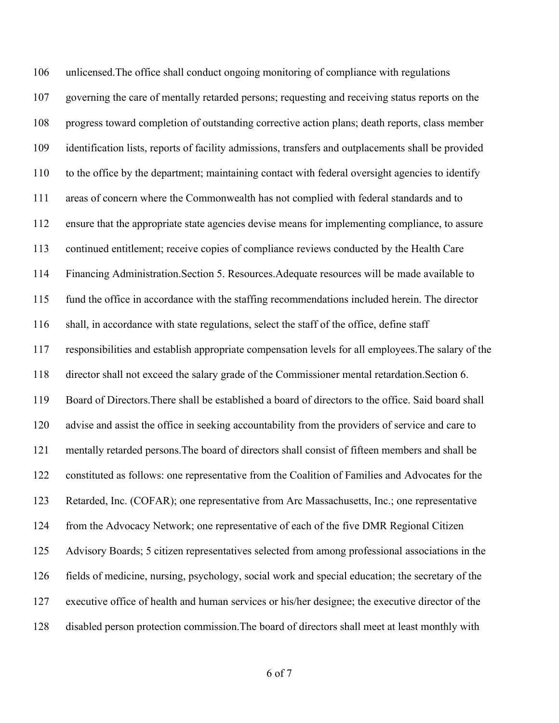unlicensed.The office shall conduct ongoing monitoring of compliance with regulations governing the care of mentally retarded persons; requesting and receiving status reports on the progress toward completion of outstanding corrective action plans; death reports, class member identification lists, reports of facility admissions, transfers and outplacements shall be provided to the office by the department; maintaining contact with federal oversight agencies to identify areas of concern where the Commonwealth has not complied with federal standards and to ensure that the appropriate state agencies devise means for implementing compliance, to assure continued entitlement; receive copies of compliance reviews conducted by the Health Care Financing Administration.Section 5. Resources.Adequate resources will be made available to fund the office in accordance with the staffing recommendations included herein. The director shall, in accordance with state regulations, select the staff of the office, define staff responsibilities and establish appropriate compensation levels for all employees.The salary of the director shall not exceed the salary grade of the Commissioner mental retardation.Section 6. Board of Directors.There shall be established a board of directors to the office. Said board shall advise and assist the office in seeking accountability from the providers of service and care to mentally retarded persons.The board of directors shall consist of fifteen members and shall be constituted as follows: one representative from the Coalition of Families and Advocates for the Retarded, Inc. (COFAR); one representative from Arc Massachusetts, Inc.; one representative from the Advocacy Network; one representative of each of the five DMR Regional Citizen Advisory Boards; 5 citizen representatives selected from among professional associations in the fields of medicine, nursing, psychology, social work and special education; the secretary of the executive office of health and human services or his/her designee; the executive director of the disabled person protection commission.The board of directors shall meet at least monthly with